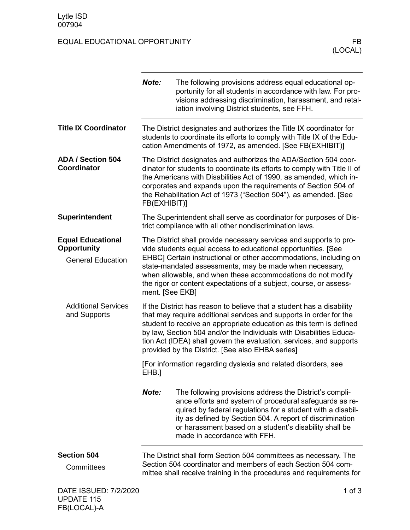FB(LOCAL)-A

## EQUAL EDUCATIONAL OPPORTUNITY FB

|                                                | Note:                                                                                                                                                                                                                                                                                | The following provisions address equal educational op-<br>portunity for all students in accordance with law. For pro-<br>visions addressing discrimination, harassment, and retal-<br>iation involving District students, see FFH.                                                                                                                                                                                   |
|------------------------------------------------|--------------------------------------------------------------------------------------------------------------------------------------------------------------------------------------------------------------------------------------------------------------------------------------|----------------------------------------------------------------------------------------------------------------------------------------------------------------------------------------------------------------------------------------------------------------------------------------------------------------------------------------------------------------------------------------------------------------------|
| <b>Title IX Coordinator</b>                    |                                                                                                                                                                                                                                                                                      | The District designates and authorizes the Title IX coordinator for<br>students to coordinate its efforts to comply with Title IX of the Edu-<br>cation Amendments of 1972, as amended. [See FB(EXHIBIT)]                                                                                                                                                                                                            |
| <b>ADA / Section 504</b><br>Coordinator        | FB(EXHIBIT)]                                                                                                                                                                                                                                                                         | The District designates and authorizes the ADA/Section 504 coor-<br>dinator for students to coordinate its efforts to comply with Title II of<br>the Americans with Disabilities Act of 1990, as amended, which in-<br>corporates and expands upon the requirements of Section 504 of<br>the Rehabilitation Act of 1973 ("Section 504"), as amended. [See                                                            |
| Superintendent                                 |                                                                                                                                                                                                                                                                                      | The Superintendent shall serve as coordinator for purposes of Dis-<br>trict compliance with all other nondiscrimination laws.                                                                                                                                                                                                                                                                                        |
| <b>Equal Educational</b><br><b>Opportunity</b> | The District shall provide necessary services and supports to pro-<br>vide students equal access to educational opportunities. [See                                                                                                                                                  |                                                                                                                                                                                                                                                                                                                                                                                                                      |
| <b>General Education</b>                       | EHBC] Certain instructional or other accommodations, including on<br>state-mandated assessments, may be made when necessary,<br>when allowable, and when these accommodations do not modify<br>the rigor or content expectations of a subject, course, or assess-<br>ment. [See EKB] |                                                                                                                                                                                                                                                                                                                                                                                                                      |
| <b>Additional Services</b><br>and Supports     |                                                                                                                                                                                                                                                                                      | If the District has reason to believe that a student has a disability<br>that may require additional services and supports in order for the<br>student to receive an appropriate education as this term is defined<br>by law, Section 504 and/or the Individuals with Disabilities Educa-<br>tion Act (IDEA) shall govern the evaluation, services, and supports<br>provided by the District. [See also EHBA series] |
|                                                | EHB.]                                                                                                                                                                                                                                                                                | [For information regarding dyslexia and related disorders, see                                                                                                                                                                                                                                                                                                                                                       |
|                                                | Note:                                                                                                                                                                                                                                                                                | The following provisions address the District's compli-<br>ance efforts and system of procedural safeguards as re-<br>quired by federal regulations for a student with a disabil-<br>ity as defined by Section 504. A report of discrimination<br>or harassment based on a student's disability shall be<br>made in accordance with FFH.                                                                             |
| <b>Section 504</b>                             | The District shall form Section 504 committees as necessary. The<br>Section 504 coordinator and members of each Section 504 com-                                                                                                                                                     |                                                                                                                                                                                                                                                                                                                                                                                                                      |
| Committees                                     |                                                                                                                                                                                                                                                                                      | mittee shall receive training in the procedures and requirements for                                                                                                                                                                                                                                                                                                                                                 |
| DATE ISSUED: 7/2/2020<br><b>UPDATE 115</b>     |                                                                                                                                                                                                                                                                                      | 1 of $3$                                                                                                                                                                                                                                                                                                                                                                                                             |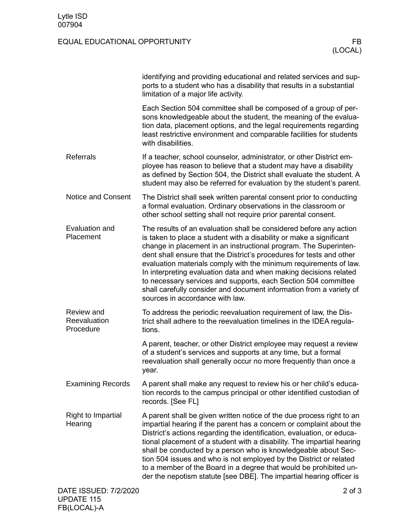FB(LOCAL)-A

## EQUAL EDUCATIONAL OPPORTUNITY FB

|                                            | identifying and providing educational and related services and sup-<br>ports to a student who has a disability that results in a substantial<br>limitation of a major life activity.                                                                                                                                                                                                                                                                                                                                                                                                                        |
|--------------------------------------------|-------------------------------------------------------------------------------------------------------------------------------------------------------------------------------------------------------------------------------------------------------------------------------------------------------------------------------------------------------------------------------------------------------------------------------------------------------------------------------------------------------------------------------------------------------------------------------------------------------------|
|                                            | Each Section 504 committee shall be composed of a group of per-<br>sons knowledgeable about the student, the meaning of the evalua-<br>tion data, placement options, and the legal requirements regarding<br>least restrictive environment and comparable facilities for students<br>with disabilities.                                                                                                                                                                                                                                                                                                     |
| <b>Referrals</b>                           | If a teacher, school counselor, administrator, or other District em-<br>ployee has reason to believe that a student may have a disability<br>as defined by Section 504, the District shall evaluate the student. A<br>student may also be referred for evaluation by the student's parent.                                                                                                                                                                                                                                                                                                                  |
| <b>Notice and Consent</b>                  | The District shall seek written parental consent prior to conducting<br>a formal evaluation. Ordinary observations in the classroom or<br>other school setting shall not require prior parental consent.                                                                                                                                                                                                                                                                                                                                                                                                    |
| Evaluation and<br>Placement                | The results of an evaluation shall be considered before any action<br>is taken to place a student with a disability or make a significant<br>change in placement in an instructional program. The Superinten-<br>dent shall ensure that the District's procedures for tests and other<br>evaluation materials comply with the minimum requirements of law.<br>In interpreting evaluation data and when making decisions related<br>to necessary services and supports, each Section 504 committee<br>shall carefully consider and document information from a variety of<br>sources in accordance with law. |
| Review and<br>Reevaluation<br>Procedure    | To address the periodic reevaluation requirement of law, the Dis-<br>trict shall adhere to the reevaluation timelines in the IDEA regula-<br>tions.                                                                                                                                                                                                                                                                                                                                                                                                                                                         |
|                                            | A parent, teacher, or other District employee may request a review<br>of a student's services and supports at any time, but a formal<br>reevaluation shall generally occur no more frequently than once a<br>year.                                                                                                                                                                                                                                                                                                                                                                                          |
| <b>Examining Records</b>                   | A parent shall make any request to review his or her child's educa-<br>tion records to the campus principal or other identified custodian of<br>records. [See FL]                                                                                                                                                                                                                                                                                                                                                                                                                                           |
| <b>Right to Impartial</b><br>Hearing       | A parent shall be given written notice of the due process right to an<br>impartial hearing if the parent has a concern or complaint about the<br>District's actions regarding the identification, evaluation, or educa-<br>tional placement of a student with a disability. The impartial hearing<br>shall be conducted by a person who is knowledgeable about Sec-<br>tion 504 issues and who is not employed by the District or related<br>to a member of the Board in a degree that would be prohibited un-<br>der the nepotism statute [see DBE]. The impartial hearing officer is                      |
| DATE ISSUED: 7/2/2020<br><b>UPDATE 115</b> | $2$ of $3$                                                                                                                                                                                                                                                                                                                                                                                                                                                                                                                                                                                                  |